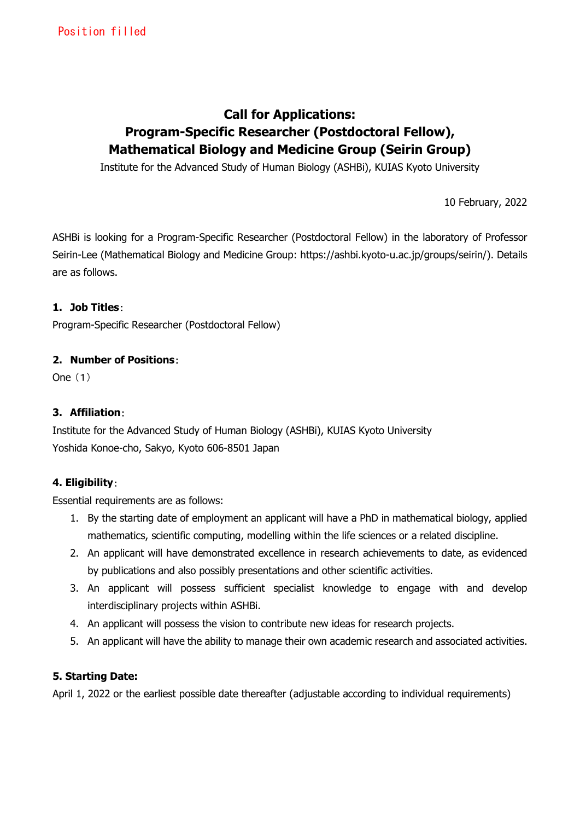# **Call for Applications: Program-Specific Researcher (Postdoctoral Fellow), Mathematical Biology and Medicine Group (Seirin Group)**

Institute for the Advanced Study of Human Biology (ASHBi), KUIAS Kyoto University

10 February, 2022

ASHBi is looking for a Program-Specific Researcher (Postdoctoral Fellow) in the laboratory of Professor Seirin-Lee (Mathematical Biology and Medicine Group: https://ashbi.kyoto-u.ac.jp/groups/seirin/). Details are as follows.

#### **1. Job Titles**:

Program-Specific Researcher (Postdoctoral Fellow)

#### **2. Number of Positions**:

One (1)

#### **3. Affiliation**:

Institute for the Advanced Study of Human Biology (ASHBi), KUIAS Kyoto University Yoshida Konoe-cho, Sakyo, Kyoto 606-8501 Japan

# **4. Eligibility**:

Essential requirements are as follows:

- 1. By the starting date of employment an applicant will have a PhD in mathematical biology, applied mathematics, scientific computing, modelling within the life sciences or a related discipline.
- 2. An applicant will have demonstrated excellence in research achievements to date, as evidenced by publications and also possibly presentations and other scientific activities.
- 3. An applicant will possess sufficient specialist knowledge to engage with and develop interdisciplinary projects within ASHBi.
- 4. An applicant will possess the vision to contribute new ideas for research projects.
- 5. An applicant will have the ability to manage their own academic research and associated activities.

#### **5. Starting Date:**

April 1, 2022 or the earliest possible date thereafter (adjustable according to individual requirements)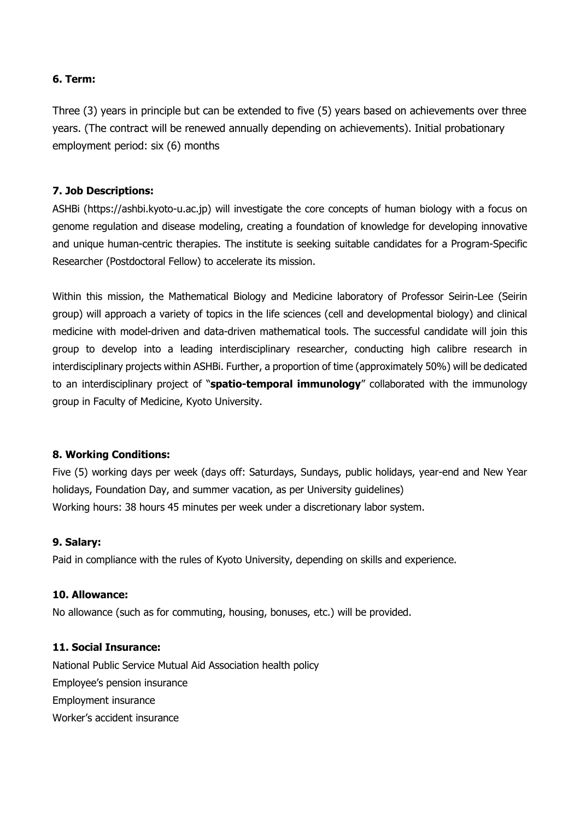#### **6. Term:**

Three (3) years in principle but can be extended to five (5) years based on achievements over three years. (The contract will be renewed annually depending on achievements). Initial probationary employment period: six (6) months

## **7. Job Descriptions:**

ASHBi (https://ashbi.kyoto-u.ac.jp) will investigate the core concepts of human biology with a focus on genome regulation and disease modeling, creating a foundation of knowledge for developing innovative and unique human-centric therapies. The institute is seeking suitable candidates for a Program-Specific Researcher (Postdoctoral Fellow) to accelerate its mission.

Within this mission, the Mathematical Biology and Medicine laboratory of Professor Seirin-Lee (Seirin group) will approach a variety of topics in the life sciences (cell and developmental biology) and clinical medicine with model-driven and data-driven mathematical tools. The successful candidate will join this group to develop into a leading interdisciplinary researcher, conducting high calibre research in interdisciplinary projects within ASHBi. Further, a proportion of time (approximately 50%) will be dedicated to an interdisciplinary project of "**spatio-temporal immunology**" collaborated with the immunology group in Faculty of Medicine, Kyoto University.

#### **8. Working Conditions:**

Five (5) working days per week (days off: Saturdays, Sundays, public holidays, year-end and New Year holidays, Foundation Day, and summer vacation, as per University guidelines) Working hours: 38 hours 45 minutes per week under a discretionary labor system.

#### **9. Salary:**

Paid in compliance with the rules of Kyoto University, depending on skills and experience.

#### **10. Allowance:**

No allowance (such as for commuting, housing, bonuses, etc.) will be provided.

#### **11. Social Insurance:**

National Public Service Mutual Aid Association health policy Employee's pension insurance Employment insurance Worker's accident insurance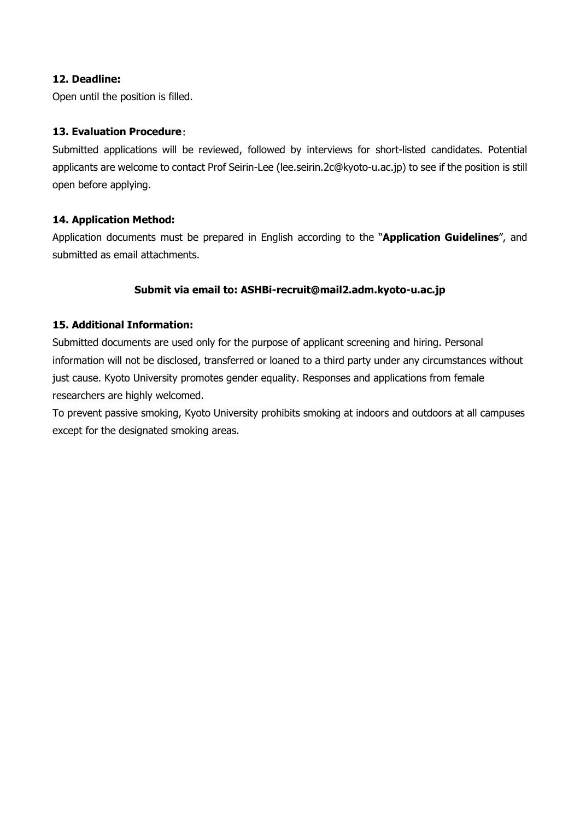## **12. Deadline:**

Open until the position is filled.

## **13. Evaluation Procedure**:

Submitted applications will be reviewed, followed by interviews for short-listed candidates. Potential applicants are welcome to contact Prof Seirin-Lee (lee.seirin.2c@kyoto-u.ac.jp) to see if the position is still open before applying.

#### **14. Application Method:**

Application documents must be prepared in English according to the "**Application Guidelines**", and submitted as email attachments.

#### **Submit via email to: [ASHBi-recruit@mail2.adm.kyoto-u.ac.jp](mailto:ASHBi-recruit@mail2.adm.kyoto-u.ac.jp)**

#### **15. Additional Information:**

Submitted documents are used only for the purpose of applicant screening and hiring. Personal information will not be disclosed, transferred or loaned to a third party under any circumstances without just cause. Kyoto University promotes gender equality. Responses and applications from female researchers are highly welcomed.

To prevent passive smoking, Kyoto University prohibits smoking at indoors and outdoors at all campuses except for the designated smoking areas.